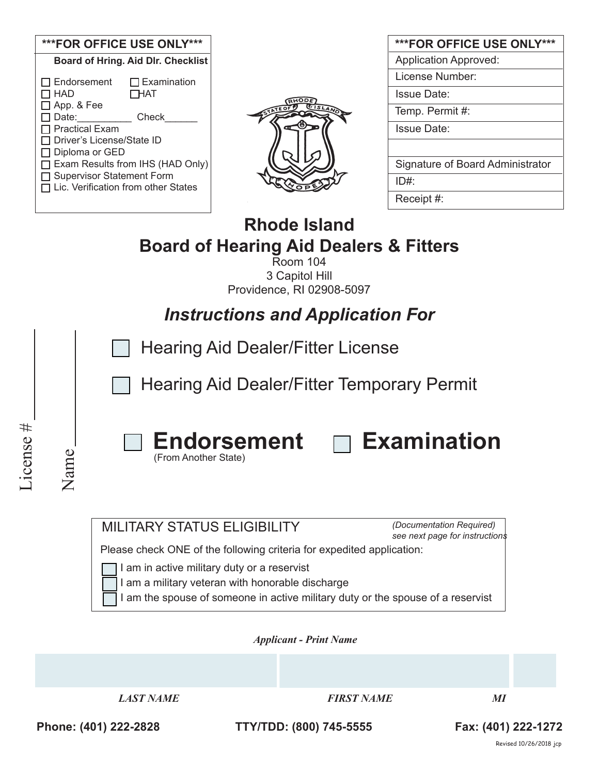| <b>***FOR OFFICE USE ONLY***</b>                                                                                                                                                                                                                                                                           |  |  |  |
|------------------------------------------------------------------------------------------------------------------------------------------------------------------------------------------------------------------------------------------------------------------------------------------------------------|--|--|--|
| <b>Board of Hring. Aid Dlr. Checklist</b>                                                                                                                                                                                                                                                                  |  |  |  |
| $\Box$ Endorsement<br>$\Box$ Examination<br>HAD ר<br><b>THAT</b><br>$\Box$ App. & Fee<br>コ Date: i<br>Check<br>ヿ Practical Exam<br>コ Driver's License/State ID<br>$\Box$ Diploma or GED<br>□ Exam Results from IHS (HAD Only)<br>□ Supervisor Statement Form<br>$\Box$ Lic. Verification from other States |  |  |  |



| <b>***FOR OFFICE USE ONLY***</b> |
|----------------------------------|
| <b>Application Approved:</b>     |
| License Number:                  |
| Issue Date:                      |
| Temp. Permit #:                  |
| <b>Issue Date:</b>               |
|                                  |
| Signature of Board Administrator |
| ID#:                             |
| Receipt #:                       |

# **Rhode Island Board of Hearing Aid Dealers & Fitters**

Room 104 3 Capitol Hill Providence, RI 02908-5097

*Instructions and Application For*

Hearing Aid Dealer/Fitter License

Hearing Aid Dealer/Fitter Temporary Permit



License #

License #

(From Another State)



### MILITARY STATUS ELIGIBILITY

*(Documentation Required) see next page for instructions*

Please check ONE of the following criteria for expedited application:

I am in active military duty or a reservist

I am a military veteran with honorable discharge

I am the spouse of someone in active military duty or the spouse of a reservist

*Applicant - Print Name* 



# **Phone: (401) 222-2828 TTY/TDD: (800) 745-5555 Fax: (401) 222-1272**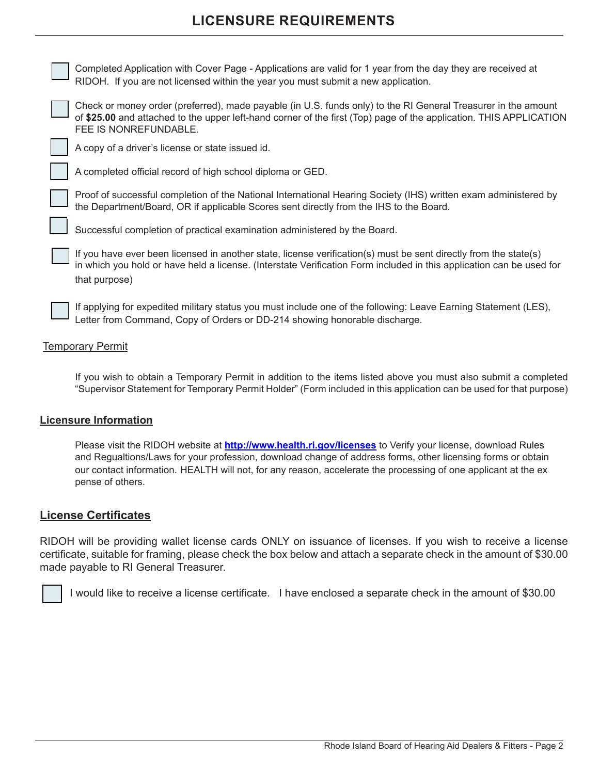# **LICENSURE REQUIREMENTS**

Completed Application with Cover Page - Applications are valid for 1 year from the day they are received at RIDOH. If you are not licensed within the year you must submit a new application.

Check or money order (preferred), made payable (in U.S. funds only) to the RI General Treasurer in the amount of **\$25.00** and attached to the upper left-hand corner of the first (Top) page of the application. THIS APPLICATION FEE IS NONREFUNDABLE.

A copy of a driver's license or state issued id.

A completed official record of high school diploma or GED.

Proof of successful completion of the National International Hearing Society (IHS) written exam administered by the Department/Board, OR if applicable Scores sent directly from the IHS to the Board.

Successful completion of practical examination administered by the Board.

If you have ever been licensed in another state, license verification(s) must be sent directly from the state(s) in which you hold or have held a license. (Interstate Verification Form included in this application can be used for that purpose)

If applying for expedited military status you must include one of the following: Leave Earning Statement (LES), Letter from Command, Copy of Orders or DD-214 showing honorable discharge.

#### Temporary Permit

If you wish to obtain a Temporary Permit in addition to the items listed above you must also submit a completed "Supervisor Statement for Temporary Permit Holder" (Form included in this application can be used for that purpose)

#### **Licensure Information**

Please visit the RIDOH website at **http://www.health.ri.gov/licenses** to Verify your license, download Rules and Regualtions/Laws for your profession, download change of address forms, other licensing forms or obtain our contact information. HEALTH will not, for any reason, accelerate the processing of one applicant at the ex pense of others.

#### **License Certificates**

RIDOH will be providing wallet license cards ONLY on issuance of licenses. If you wish to receive a license certificate, suitable for framing, please check the box below and attach a separate check in the amount of \$30.00 made payable to RI General Treasurer.

I would like to receive a license certificate. I have enclosed a separate check in the amount of \$30.00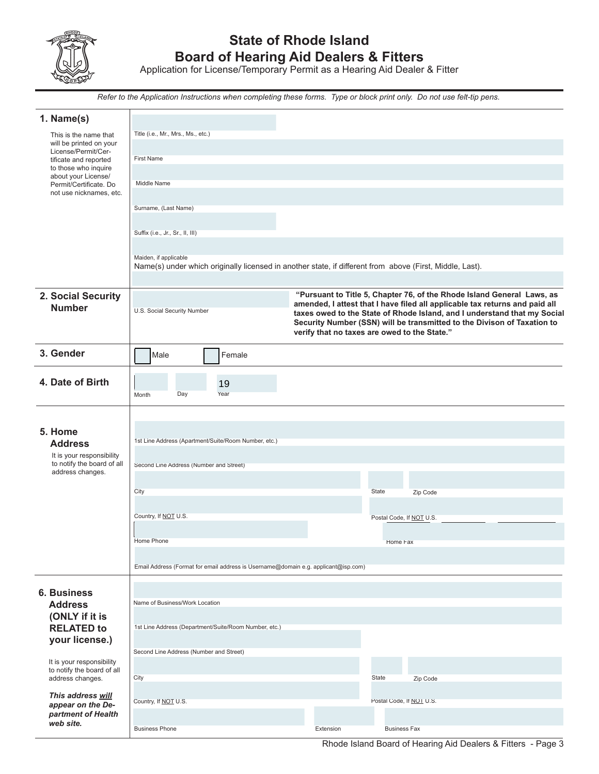

# **State of Rhode Island Board of Hearing Aid Dealers & Fitters**

Application for License/Temporary Permit as a Hearing Aid Dealer & Fitter

*Refer to the Application Instructions when completing these forms. Type or block print only. Do not use felt-tip pens.*

| 1. Name(s)                                                                                                                                                                                                                  |  |  |  |  |
|-----------------------------------------------------------------------------------------------------------------------------------------------------------------------------------------------------------------------------|--|--|--|--|
| Title (i.e., Mr., Mrs., Ms., etc.)<br>This is the name that<br>will be printed on your                                                                                                                                      |  |  |  |  |
| License/Permit/Cer-<br><b>First Name</b><br>tificate and reported                                                                                                                                                           |  |  |  |  |
| to those who inquire<br>about your License/<br>Middle Name                                                                                                                                                                  |  |  |  |  |
| Permit/Certificate. Do<br>not use nicknames, etc.                                                                                                                                                                           |  |  |  |  |
| Surname, (Last Name)                                                                                                                                                                                                        |  |  |  |  |
| Suffix (i.e., Jr., Sr., II, III)                                                                                                                                                                                            |  |  |  |  |
|                                                                                                                                                                                                                             |  |  |  |  |
| Maiden, if applicable<br>Name(s) under which originally licensed in another state, if different from above (First, Middle, Last).                                                                                           |  |  |  |  |
|                                                                                                                                                                                                                             |  |  |  |  |
| "Pursuant to Title 5, Chapter 76, of the Rhode Island General Laws, as<br>2. Social Security<br>amended, I attest that I have filed all applicable tax returns and paid all<br><b>Number</b><br>U.S. Social Security Number |  |  |  |  |
| taxes owed to the State of Rhode Island, and I understand that my Social<br>Security Number (SSN) will be transmitted to the Divison of Taxation to                                                                         |  |  |  |  |
| verify that no taxes are owed to the State."                                                                                                                                                                                |  |  |  |  |
| 3. Gender<br>Male<br>Female                                                                                                                                                                                                 |  |  |  |  |
| 4. Date of Birth<br>19                                                                                                                                                                                                      |  |  |  |  |
| Day<br>Year<br>Month                                                                                                                                                                                                        |  |  |  |  |
|                                                                                                                                                                                                                             |  |  |  |  |
| 5. Home                                                                                                                                                                                                                     |  |  |  |  |
| 1st Line Address (Apartment/Suite/Room Number, etc.)<br><b>Address</b><br>It is your responsibility                                                                                                                         |  |  |  |  |
| to notify the board of all<br>Second Line Address (Number and Street)<br>address changes.                                                                                                                                   |  |  |  |  |
| City<br><b>State</b><br>Zip Code                                                                                                                                                                                            |  |  |  |  |
|                                                                                                                                                                                                                             |  |  |  |  |
| Country, If NOT U.S.<br>Postal Code, If NOT U.S.                                                                                                                                                                            |  |  |  |  |
| Home Phone<br>Home Fax                                                                                                                                                                                                      |  |  |  |  |
| Email Address (Format for email address is Username@domain e.g. applicant@isp.com)                                                                                                                                          |  |  |  |  |
|                                                                                                                                                                                                                             |  |  |  |  |
| <b>6. Business</b><br>Name of Business/Work Location<br><b>Address</b>                                                                                                                                                      |  |  |  |  |
| (ONLY if it is                                                                                                                                                                                                              |  |  |  |  |
| <b>RELATED to</b><br>1st Line Address (Department/Suite/Room Number, etc.)<br>your license.)                                                                                                                                |  |  |  |  |
| Second Line Address (Number and Street)                                                                                                                                                                                     |  |  |  |  |
|                                                                                                                                                                                                                             |  |  |  |  |
| It is your responsibility<br>to notify the board of all                                                                                                                                                                     |  |  |  |  |
| State<br>address changes.<br>City<br>Zip Code                                                                                                                                                                               |  |  |  |  |
| This address will<br>Postal Code, If NOT U.S.<br>Country, If NOT U.S.<br>appear on the De-<br>partment of Health                                                                                                            |  |  |  |  |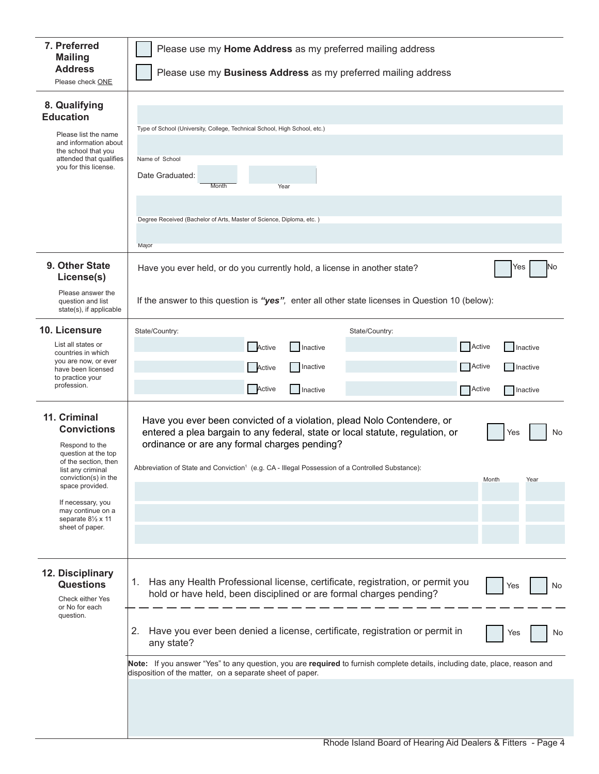| 7. Preferred<br><b>Mailing</b><br><b>Address</b>                                                                                                                                                                                                                 | Please use my Home Address as my preferred mailing address                                                                                                                                                                                                                                                                                           |  |  |  |
|------------------------------------------------------------------------------------------------------------------------------------------------------------------------------------------------------------------------------------------------------------------|------------------------------------------------------------------------------------------------------------------------------------------------------------------------------------------------------------------------------------------------------------------------------------------------------------------------------------------------------|--|--|--|
| Please check ONE                                                                                                                                                                                                                                                 | Please use my Business Address as my preferred mailing address                                                                                                                                                                                                                                                                                       |  |  |  |
| 8. Qualifying<br><b>Education</b><br>Please list the name<br>and information about<br>the school that you<br>attended that qualifies<br>you for this license.                                                                                                    | Type of School (University, College, Technical School, High School, etc.)<br>Name of School<br>Date Graduated:<br>Month<br>Year                                                                                                                                                                                                                      |  |  |  |
|                                                                                                                                                                                                                                                                  | Degree Received (Bachelor of Arts, Master of Science, Diploma, etc.)<br>Major                                                                                                                                                                                                                                                                        |  |  |  |
| 9. Other State<br>License(s)<br>Please answer the                                                                                                                                                                                                                | Yes<br>No<br>Have you ever held, or do you currently hold, a license in another state?                                                                                                                                                                                                                                                               |  |  |  |
| question and list<br>state(s), if applicable                                                                                                                                                                                                                     | If the answer to this question is "yes", enter all other state licenses in Question 10 (below):                                                                                                                                                                                                                                                      |  |  |  |
| 10. Licensure                                                                                                                                                                                                                                                    | State/Country:<br>State/Country:                                                                                                                                                                                                                                                                                                                     |  |  |  |
| List all states or<br>countries in which<br>you are now, or ever<br>have been licensed<br>to practice your                                                                                                                                                       | Active<br>Active<br>Inactive<br>Inactive                                                                                                                                                                                                                                                                                                             |  |  |  |
|                                                                                                                                                                                                                                                                  | Inactive<br>Active<br>Active<br>Inactive                                                                                                                                                                                                                                                                                                             |  |  |  |
| profession.                                                                                                                                                                                                                                                      | Active<br>Inactive<br>Active<br>Inactive                                                                                                                                                                                                                                                                                                             |  |  |  |
| 11. Criminal<br><b>Convictions</b><br>Respond to the<br>question at the top<br>of the section, then<br>list any criminal<br>conviction(s) in the<br>space provided.<br>If necessary, you<br>may continue on a<br>separate $8\frac{1}{2}$ x 11<br>sheet of paper. | Have you ever been convicted of a violation, plead Nolo Contendere, or<br>entered a plea bargain to any federal, state or local statute, regulation, or<br>No<br>Yes<br>ordinance or are any formal charges pending?<br>Abbreviation of State and Conviction <sup>1</sup> (e.g. CA - Illegal Possession of a Controlled Substance):<br>Month<br>Year |  |  |  |
| 12. Disciplinary<br><b>Questions</b><br>Check either Yes<br>or No for each<br>question.                                                                                                                                                                          | Has any Health Professional license, certificate, registration, or permit you<br>1.<br>No<br>Yes<br>hold or have held, been disciplined or are formal charges pending?<br>Have you ever been denied a license, certificate, registration or permit in<br>2.<br>No<br>Yes<br>any state?                                                               |  |  |  |
| Note: If you answer "Yes" to any question, you are required to furnish complete details, including date, place, reason and<br>disposition of the matter, on a separate sheet of paper.                                                                           |                                                                                                                                                                                                                                                                                                                                                      |  |  |  |
|                                                                                                                                                                                                                                                                  |                                                                                                                                                                                                                                                                                                                                                      |  |  |  |
|                                                                                                                                                                                                                                                                  |                                                                                                                                                                                                                                                                                                                                                      |  |  |  |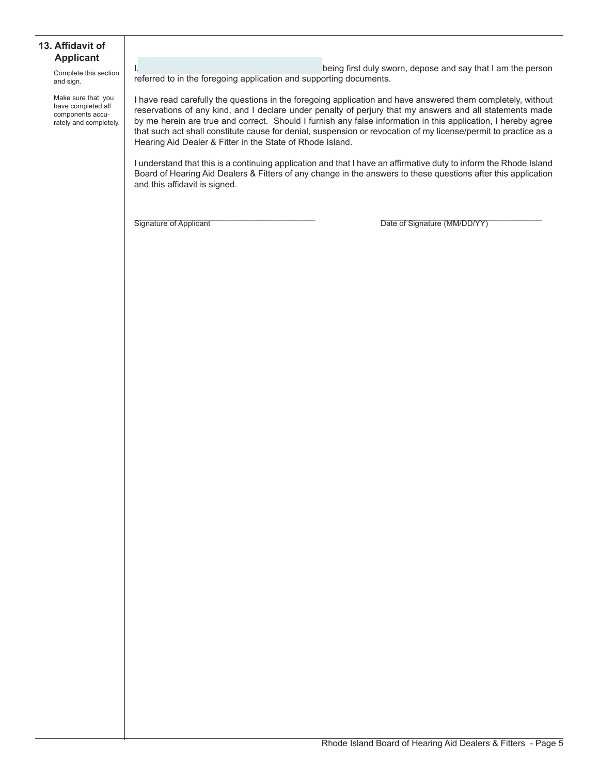#### **13. Affidavit of Applicant**

Complete this section and sign.

Make sure that you have completed all components accurately and completely.

I, a construction of the state of the being first duly sworn, depose and say that I am the person referred to in the foregoing application and supporting documents.

I have read carefully the questions in the foregoing application and have answered them completely, without reservations of any kind, and I declare under penalty of perjury that my answers and all statements made by me herein are true and correct. Should I furnish any false information in this application, I hereby agree that such act shall constitute cause for denial, suspension or revocation of my license/permit to practice as a Hearing Aid Dealer & Fitter in the State of Rhode Island.

I understand that this is a continuing application and that I have an affirmative duty to inform the Rhode Island Board of Hearing Aid Dealers & Fitters of any change in the answers to these questions after this application and this affidavit is signed.

Signature of Applicant **Example 20** The Signature (MM/DD/YY)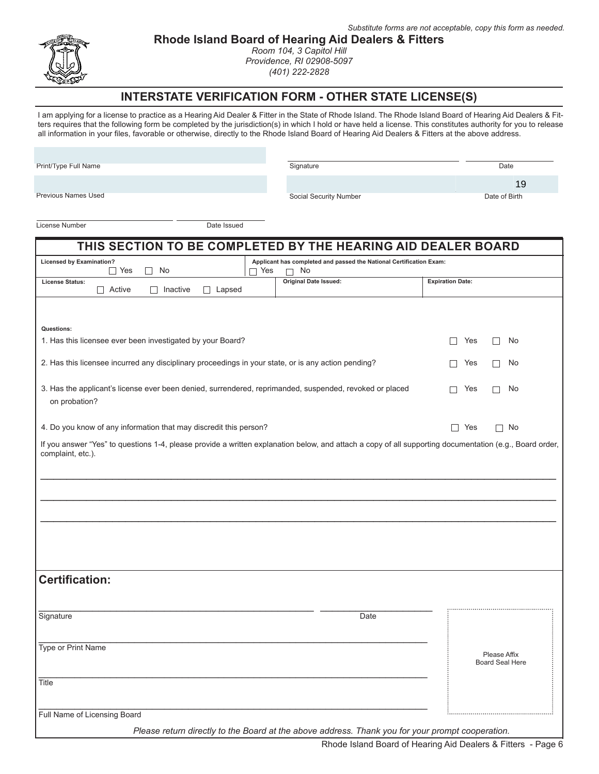

**Rhode Island Board of Hearing Aid Dealers & Fitters**

*Room 104, 3 Capitol Hill Providence, RI 02908-5097 (401) 222-2828*

### **INTERSTATE VERIFICATION FORM - OTHER STATE LICENSE(S)**

I am applying for a license to practice as a Hearing Aid Dealer & Fitter in the State of Rhode Island. The Rhode Island Board of Hearing Aid Dealers & Fitters requires that the following form be completed by the jurisdiction(s) in which I hold or have held a license. This constitutes authority for you to release all information in your files, favorable or otherwise, directly to the Rhode Island Board of Hearing Aid Dealers & Fitters at the above address.

Print/Type Full Name

Signature Date

Previous Names Used

Social Security Number Date of Birth

19

License Number Date Issued

| THIS SECTION TO BE COMPLETED BY THE HEARING AID DEALER BOARD                                                                                                                                          |                                        |  |  |
|-------------------------------------------------------------------------------------------------------------------------------------------------------------------------------------------------------|----------------------------------------|--|--|
| <b>Licensed by Examination?</b><br>Applicant has completed and passed the National Certification Exam:<br>$\Box$ Yes<br>No<br>∩ Yes<br>No<br>П<br>П                                                   |                                        |  |  |
| <b>Original Date Issued:</b><br><b>License Status:</b><br>$\Box$ Active<br>Inactive<br>Lapsed<br>$\mathsf{L}$                                                                                         | <b>Expiration Date:</b>                |  |  |
|                                                                                                                                                                                                       |                                        |  |  |
| Questions:<br>1. Has this licensee ever been investigated by your Board?                                                                                                                              | Yes<br>No<br>П<br>П                    |  |  |
| 2. Has this licensee incurred any disciplinary proceedings in your state, or is any action pending?                                                                                                   | No<br>Yes                              |  |  |
| 3. Has the applicant's license ever been denied, surrendered, reprimanded, suspended, revoked or placed<br>on probation?                                                                              | Yes<br>No<br>П                         |  |  |
| 4. Do you know of any information that may discredit this person?                                                                                                                                     | $\Box$ Yes<br>$\Box$ No                |  |  |
| If you answer "Yes" to questions 1-4, please provide a written explanation below, and attach a copy of all supporting documentation (e.g., Board order,<br>complaint, etc.).<br><b>Certification:</b> |                                        |  |  |
| Signature<br>Date                                                                                                                                                                                     |                                        |  |  |
| Type or Print Name                                                                                                                                                                                    | Please Affix<br><b>Board Seal Here</b> |  |  |
| Title                                                                                                                                                                                                 |                                        |  |  |
| Full Name of Licensing Board<br>Please return directly to the Board at the above address. Thank you for your prompt cooperation.                                                                      |                                        |  |  |